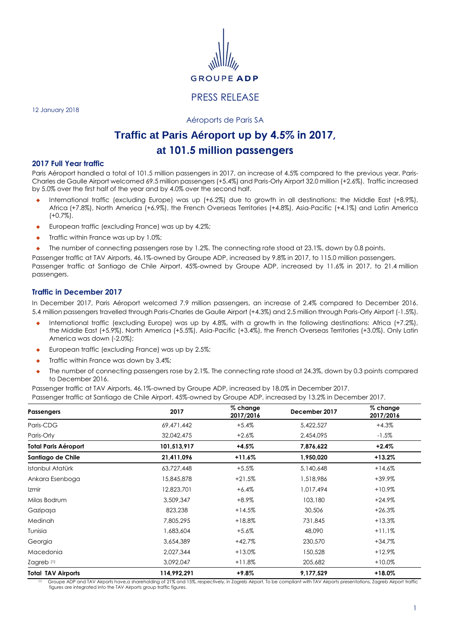

# PRESS RELEASE

12 January 2018

Aéroports de Paris SA

# **Traffic at Paris Aéroport up by 4.5% in 2017, at 101.5 million passengers**

#### **2017 Full Year traffic**

Paris Aéroport handled a total of 101.5 million passengers in 2017, an increase of 4.5% compared to the previous year. Paris-Charles de Gaulle Airport welcomed 69.5 million passengers (+5.4%) and Paris-Orly Airport 32.0 million (+2.6%). Traffic increased by 5.0% over the first half of the year and by 4.0% over the second half.

- International traffic (excluding Europe) was up (+6.2%) due to growth in all destinations: the Middle East (+8.9%), Africa (+7.8%), North America (+6.9%), the French Overseas Territories (+4.8%), Asia-Pacific (+4.1%) and Latin America (+0.7%).
- European traffic (excluding France) was up by 4.2%;
- Traffic within France was up by 1.0%;
- The number of connecting passengers rose by 1.2%. The connecting rate stood at 23.1%, down by 0.8 points.

Passenger traffic at TAV Airports, 46.1%-owned by Groupe ADP, increased by 9.8% in 2017, to 115.0 million passengers. Passenger traffic at Santiago de Chile Airport, 45%-owned by Groupe ADP, increased by 11.6% in 2017, to 21.4 million passengers.

## **Traffic in December 2017**

In December 2017, Paris Aéroport welcomed 7.9 million passengers, an increase of 2.4% compared to December 2016. 5.4 million passengers travelled through Paris-Charles de Gaulle Airport (+4.3%) and 2.5 million through Paris-Orly Airport (-1.5%).

- International traffic (excluding Europe) was up by 4.8%, with a growth in the following destinations: Africa (+7.2%), the Middle East (+5.9%), North America (+5.5%), Asia-Pacific (+3.4%), the French Overseas Territories (+3.0%). Only Latin America was down (-2.0%);
- European traffic (excluding France) was up by 2.5%;
- Traffic within France was down by 3.4%;
- The number of connecting passengers rose by 2.1%. The connecting rate stood at 24.3%, down by 0.3 points compared to December 2016.

| Passengers                | 2017        | % change<br>2017/2016 | December 2017 | $%$ change<br>2017/2016 |
|---------------------------|-------------|-----------------------|---------------|-------------------------|
| Paris-CDG                 | 69,471,442  | $+5.4%$               | 5,422,527     | $+4.3%$                 |
| Paris-Orly                | 32,042,475  | $+2.6%$               | 2,454,095     | $-1.5%$                 |
| Total Paris Aéroport      | 101,513,917 | $+4.5%$               | 7,876,622     | $+2.4%$                 |
| Santiago de Chile         | 21,411,096  | +11.6%                | 1,950,020     | $+13.2%$                |
| Istanbul Atatürk          | 63,727,448  | $+5.5%$               | 5,140,648     | $+14.6%$                |
| Ankara Esenboga           | 15,845,878  | $+21.5%$              | 1,518,986     | +39.9%                  |
| Izmir                     | 12,823,701  | $+6.4%$               | 1,017,494     | $+10.9%$                |
| Milas Bodrum              | 3,509,347   | $+8.9\%$              | 103,180       | $+24.9%$                |
| Gazipaşa                  | 823,238     | $+14.5%$              | 30,506        | $+26.3%$                |
| Medinah                   | 7,805,295   | $+18.8%$              | 731,845       | $+13.3%$                |
| Tunisia                   | 1,683,604   | $+5.6%$               | 48,090        | $+11.1%$                |
| Georgia                   | 3,654,389   | $+42.7%$              | 230,570       | $+34.7%$                |
| Macedonia                 | 2,027,344   | $+13.0%$              | 150,528       | $+12.9%$                |
| Zagreb (1)                | 3,092,047   | $+11.8%$              | 205,682       | $+10.0%$                |
| <b>Total TAV Airports</b> | 114,992,291 | $+9.8\%$              | 9,177,529     | $+18.0%$                |

Passenger traffic at TAV Airports, 46.1%-owned by Groupe ADP, increased by 18.0% in December 2017. Passenger traffic at Santiago de Chile Airport, 45%-owned by Groupe ADP, increased by 13.2% in December 2017.

Groupe ADP and TAV Airports have,a shareholding of 21% and 15%, respectively, in Zagreb Airport. To be compliant with TAV Airports presentations, Zagreb Airport traffic figures are integrated into the TAV Airports group traffic figures.